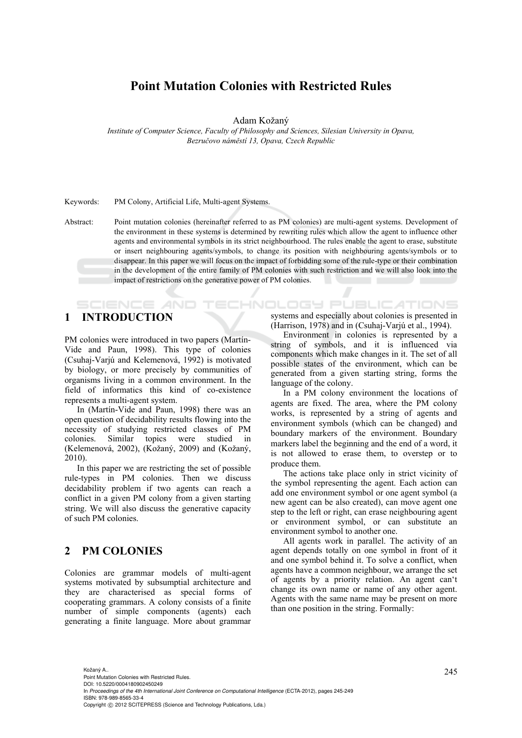# **Point Mutation Colonies with Restricted Rules**

Adam Kožaný

*Institute of Computer Science, Faculty of Philosophy and Sciences, Silesian University in Opava, Bezručovo náměstí 13, Opava, Czech Republic* 

#### Keywords: PM Colony, Artificial Life, Multi-agent Systems.

Abstract: Point mutation colonies (hereinafter referred to as PM colonies) are multi-agent systems. Development of the environment in these systems is determined by rewriting rules which allow the agent to influence other agents and environmental symbols in its strict neighbourhood. The rules enable the agent to erase, substitute or insert neighbouring agents/symbols, to change its position with neighbouring agents/symbols or to disappear. In this paper we will focus on the impact of forbidding some of the rule-type or their combination in the development of the entire family of PM colonies with such restriction and we will also look into the impact of restrictions on the generative power of PM colonies.

**ECHNOLOGY Pl** 

## **1 INTRODUCTION**

SCIENCE *A*ND

PM colonies were introduced in two papers (Martín-Vide and Paun, 1998). This type of colonies (Csuhaj-Varjú and Kelemenová, 1992) is motivated by biology, or more precisely by communities of organisms living in a common environment. In the field of informatics this kind of co-existence represents a multi-agent system.

In (Martín-Vide and Paun, 1998) there was an open question of decidability results flowing into the necessity of studying restricted classes of PM colonies. Similar topics were studied in (Kelemenová, 2002), (Kožaný, 2009) and (Kožaný, 2010).

In this paper we are restricting the set of possible rule-types in PM colonies. Then we discuss decidability problem if two agents can reach a conflict in a given PM colony from a given starting string. We will also discuss the generative capacity of such PM colonies.

## **2 PM COLONIES**

Colonies are grammar models of multi-agent systems motivated by subsumptial architecture and they are characterised as special forms of cooperating grammars. A colony consists of a finite number of simple components (agents) each generating a finite language. More about grammar

systems and especially about colonies is presented in (Harrison, 1978) and in (Csuhaj-Varjú et al., 1994).

Environment in colonies is represented by a string of symbols, and it is influenced via components which make changes in it. The set of all possible states of the environment, which can be generated from a given starting string, forms the language of the colony.

In a PM colony environment the locations of agents are fixed. The area, where the PM colony works, is represented by a string of agents and environment symbols (which can be changed) and boundary markers of the environment. Boundary markers label the beginning and the end of a word, it is not allowed to erase them, to overstep or to produce them.

The actions take place only in strict vicinity of the symbol representing the agent. Each action can add one environment symbol or one agent symbol (a new agent can be also created), can move agent one step to the left or right, can erase neighbouring agent or environment symbol, or can substitute an environment symbol to another one.

All agents work in parallel. The activity of an agent depends totally on one symbol in front of it and one symbol behind it. To solve a conflict, when agents have a common neighbour, we arrange the set of agents by a priority relation. An agent can't change its own name or name of any other agent. Agents with the same name may be present on more than one position in the string. Formally: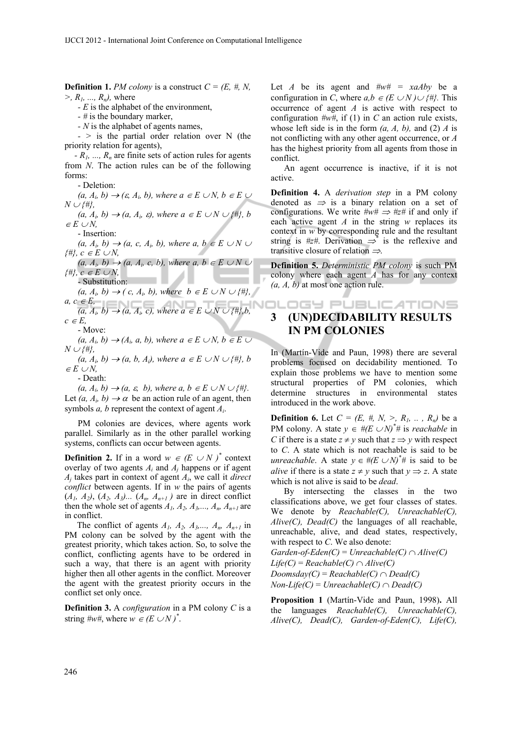**Definition 1.** *PM colony* is a construct  $C = (E, \#, N, \)$ *>, R1, ..., Rn),* where

*- E* is the alphabet of the environment,

*- #* is the boundary marker,

*- N* is the alphabet of agents names,

*- >* is the partial order relation over N (the priority relation for agents),

*- R1, ..., Rn* are finite sets of action rules for agents from *N*. The action rules can be of the following forms:

- Deletion:

 $(a, A_i, b) \rightarrow (\varepsilon, A_i, b)$ , where  $a \in E \cup N$ ,  $b \in E \cup I$  $N \cup \{ \# \},\$ 

 $(a, A_i, b) \rightarrow (a, A_i, \varepsilon)$ , where  $a \in E \cup N \cup \{\#\}, b$  $\in E \cup N$ ,

- Insertion:

 $(a, A_i, b) \rightarrow (a, c, A_i, b)$ , where a,  $b \in E \cup N \cup$  $\{H\}$ *, c*  $\in E \cup N$ ,

 $(a, A_i, b) \rightarrow (a, A_i, c, b)$ , where a,  $b \in E \cup N \cup$  $\{H\}$ ,  $c \in E \cup N$ ,

- Substitution:

 $(a, A_i, b) \rightarrow (c, A_i, b)$ , where  $b \in E \cup N \cup \{\#\},$  $a, c \in E$ ,

 $(a, A_i, b) \rightarrow (a, A_i, c)$ , where  $a \in E \cup N \cup \{\#\}, b$ ,  $c \in E$ ,

- Move:

 $(a, A_i, b) \rightarrow (A_i, a, b)$ , where  $a \in E \cup N$ ,  $b \in E \cup$  $N \cup \{ \# \},$ 

 $(a, A_i, b) \rightarrow (a, b, A_i)$ , where  $a \in E \cup N \cup \{\#\}$ , b  $\in E \cup N$ ,

- Death:

 $(a, A_i, b) \rightarrow (a, \varepsilon, b)$ , where  $a, b \in E \cup N \cup \{\#\}.$ Let  $(a, A_i, b) \rightarrow \alpha$  be an action rule of an agent, then symbols *a, b* represent the context of agent *Ai*.

PM colonies are devices, where agents work parallel. Similarly as in the other parallel working systems, conflicts can occur between agents.

**Definition 2.** If in a word  $w \in (E \cup N)^*$  context overlay of two agents *Ai* and *Aj* happens or if agent *Aj* takes part in context of agent *Ai*, we call it *direct conflict* between agents. If in *w* the pairs of agents  $(A_1, A_2), (A_2, A_3)$ ...  $(A_n, A_{n+1})$  are in direct conflict then the whole set of agents  $A_1$ ,  $A_2$ ,  $A_3$ ,...,  $A_n$ ,  $A_{n+1}$  are in conflict.

The conflict of agents  $A_1$ ,  $A_2$ ,  $A_3$ ,...,  $A_n$ ,  $A_{n+1}$  in PM colony can be solved by the agent with the greatest priority, which takes action. So, to solve the conflict, conflicting agents have to be ordered in such a way, that there is an agent with priority higher then all other agents in the conflict. Moreover the agent with the greatest priority occurs in the conflict set only once.

**Definition 3.** A *configuration* in a PM colony *C* is a string  $\#w\#$ , where  $w \in (E \cup N)^*$ .

Let *A* be its agent and  $\#w\# = xaAby$  be a configuration in *C*, where  $a, b \in (E \cup N) \cup \{ \# \}$ . This occurrence of agent *A* is active with respect to configuration *#w#*, if (1) in *C* an action rule exists, whose left side is in the form *(a, A, b),* and (2) *A* is not conflicting with any other agent occurrence, or *A* has the highest priority from all agents from those in conflict.

An agent occurrence is inactive, if it is not active.

**Definition 4.** A *derivation step* in a PM colony denoted as  $\Rightarrow$  is a binary relation on a set of configurations. We write  $\#w\# \implies \#z\#$  if and only if each active agent *A* in the string *w* replaces its context in *w* by corresponding rule and the resultant string is  $#z#$ . Derivation  $\Rightarrow$  is the reflexive and transitive closure of relation  $\Rightarrow$ .

**Definition 5.** *Deterministic PM colony* is such PM colony where each agent *A* has for any context *(a, A, b)* at most one action rule.

# **3 (UN)DECIDABILITY RESULTS IN PM COLONIES**

In (Martín-Vide and Paun, 1998) there are several problems focused on decidability mentioned. To explain those problems we have to mention some structural properties of PM colonies, which determine structures in environmental states introduced in the work above.

**Definition 6.** Let  $C = (E, #, N, >, R_1, ..., R_n)$  be a PM colony. A state  $y \in \#(E \cup N)^* \#$  is *reachable* in *C* if there is a state  $z \neq y$  such that  $z \Rightarrow y$  with respect to *C*. A state which is not reachable is said to be *unreachable.* A state  $y \in \#(E \cup N)^* \#$  is said to be *alive* if there is a state  $z \neq y$  such that  $y \Rightarrow z$ . A state which is not alive is said to be *dead*.

By intersecting the classes in the two classifications above, we get four classes of states. We denote by *Reachable(C), Unreachable(C), Alive(C), Dead(C)* the languages of all reachable, unreachable, alive, and dead states, respectively, with respect to *C*. We also denote:

 $Garden-of-Eden(C) = Unreachable(C) \cap alive(C)$  $Life(C) = Reachable(C) \cap Alice(C)$  $Doomsday(C) = Reachable(C) \cap Dead(C)$ 

 $Non-Life(C) = Unreachable(C) \cap Dead(C)$ 

**Proposition 1** (Martín-Vide and Paun, 1998)**.** All the languages *Reachable(C), Unreachable(C), Alive(C), Dead(C), Garden-of-Eden(C), Life(C),*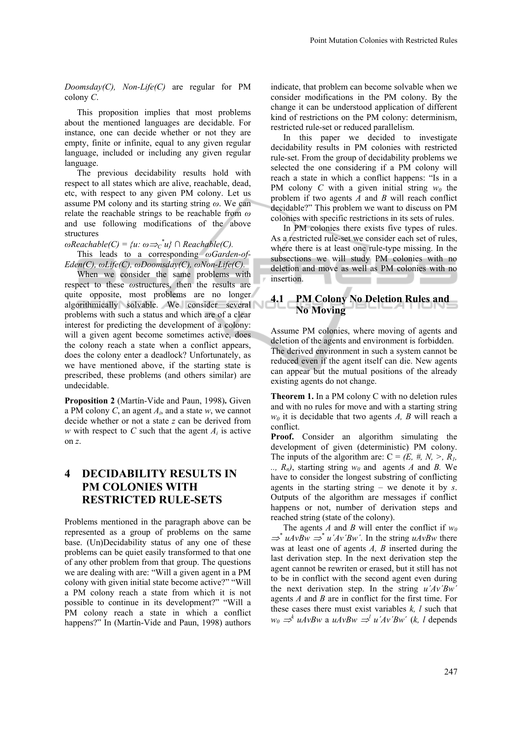*Doomsday(C), Non-Life(C)* are regular for PM colony *C*.

This proposition implies that most problems about the mentioned languages are decidable. For instance, one can decide whether or not they are empty, finite or infinite, equal to any given regular language, included or including any given regular language.

The previous decidability results hold with respect to all states which are alive, reachable, dead, etc, with respect to any given PM colony. Let us assume PM colony and its starting string *ω*. We can relate the reachable strings to be reachable from *ω* and use following modifications of the above structures

 $\omega$ *Reachable(C)* =  $\{u: \omega \Rightarrow c^*u\}$  ∩ *Reachable(C).* 

This leads to a corresponding *ωGarden-of-Eden(C), ωLife(C), ωDoomsday(C), ωNon-Life(C).*

When we consider the same problems with respect to these *ω*structures, then the results are quite opposite, most problems are no longer algorithmically solvable. We consider several problems with such a status and which are of a clear interest for predicting the development of a colony: will a given agent become sometimes active, does the colony reach a state when a conflict appears, does the colony enter a deadlock? Unfortunately, as we have mentioned above, if the starting state is prescribed, these problems (and others similar) are undecidable.

**Proposition 2** (Martín-Vide and Paun, 1998)**.** Given a PM colony *C*, an agent *Ai*, and a state *w*, we cannot decide whether or not a state *z* can be derived from *w* with respect to *C* such that the agent  $A_i$  is active on *z*.

# **4 DECIDABILITY RESULTS IN PM COLONIES WITH RESTRICTED RULE-SETS**

Problems mentioned in the paragraph above can be represented as a group of problems on the same base. (Un)Decidability status of any one of these problems can be quiet easily transformed to that one of any other problem from that group. The questions we are dealing with are: "Will a given agent in a PM colony with given initial state become active?" "Will a PM colony reach a state from which it is not possible to continue in its development?" "Will a PM colony reach a state in which a conflict happens?" In (Martín-Vide and Paun, 1998) authors

indicate, that problem can become solvable when we consider modifications in the PM colony. By the change it can be understood application of different kind of restrictions on the PM colony: determinism, restricted rule-set or reduced parallelism.

In this paper we decided to investigate decidability results in PM colonies with restricted rule-set. From the group of decidability problems we selected the one considering if a PM colony will reach a state in which a conflict happens: "Is in a PM colony *C* with a given initial string  $w_0$  the problem if two agents *A* and *B* will reach conflict decidable?" This problem we want to discuss on PM colonies with specific restrictions in its sets of rules.

In PM colonies there exists five types of rules. As a restricted rule-set we consider each set of rules, where there is at least one rule-type missing. In the subsections we will study PM colonies with no deletion and move as well as PM colonies with no insertion.

#### **4.1 PM Colony No Deletion Rules and No Moving**

Assume PM colonies, where moving of agents and deletion of the agents and environment is forbidden. The derived environment in such a system cannot be reduced even if the agent itself can die. New agents can appear but the mutual positions of the already existing agents do not change.

**Theorem 1.** In a PM colony C with no deletion rules and with no rules for move and with a starting string  $w_0$  it is decidable that two agents *A*, *B* will reach a conflict.

**Proof.** Consider an algorithm simulating the development of given (deterministic) PM colony. The inputs of the algorithm are:  $C = (E, \#, N, >, R)$ ,  $\ldots$ ,  $R_n$ ), starting string  $w_0$  and agents *A* and *B*. We have to consider the longest substring of conflicting agents in the starting string – we denote it by *s*. Outputs of the algorithm are messages if conflict happens or not, number of derivation steps and reached string (state of the colony).

The agents *A* and *B* will enter the conflict if  $w_0$  $\Rightarrow^* uAvBw \Rightarrow^* u'Av'Bw'$ . In the string *uAvBw* there was at least one of agents *A, B* inserted during the last derivation step. In the next derivation step the agent cannot be rewriten or erased, but it still has not to be in conflict with the second agent even during the next derivation step. In the string *u´Av´Bw´* agents *A* and *B* are in conflict for the first time. For these cases there must exist variables *k, l* such that  $w_0 \Rightarrow^k uAvBw$  a  $uAvBw \Rightarrow^l u'Av'Bw'$  (*k, l* depends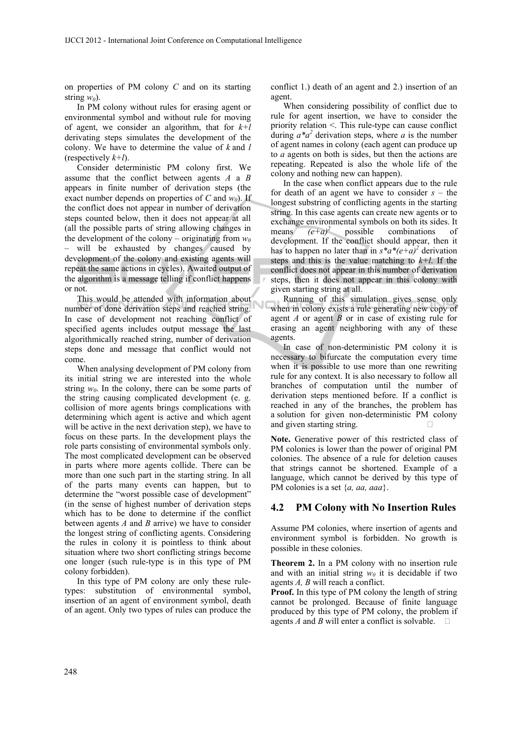on properties of PM colony *C* and on its starting string  $w_0$ ).

In PM colony without rules for erasing agent or environmental symbol and without rule for moving of agent, we consider an algorithm, that for *k+l* derivating steps simulates the development of the colony. We have to determine the value of *k* and *l* (respectively *k+l*).

Consider deterministic PM colony first. We assume that the conflict between agents *A* a *B* appears in finite number of derivation steps (the exact number depends on properties of  $C$  and  $w_0$ ). If the conflict does not appear in number of derivation steps counted below, then it does not appear at all (all the possible parts of string allowing changes in the development of the colony – originating from  $w_0$ – will be exhausted by changes caused by development of the colony and existing agents will repeat the same actions in cycles). Awaited output of the algorithm is a message telling if conflict happens or not.

This would be attended with information about number of done derivation steps and reached string. In case of development not reaching conflict of specified agents includes output message the last algorithmically reached string, number of derivation steps done and message that conflict would not come.

When analysing development of PM colony from its initial string we are interested into the whole string  $w_0$ . In the colony, there can be some parts of the string causing complicated development (e. g. collision of more agents brings complications with determining which agent is active and which agent will be active in the next derivation step), we have to focus on these parts. In the development plays the role parts consisting of environmental symbols only. The most complicated development can be observed in parts where more agents collide. There can be more than one such part in the starting string. In all of the parts many events can happen, but to determine the "worst possible case of development" (in the sense of highest number of derivation steps which has to be done to determine if the conflict between agents *A* and *B* arrive) we have to consider the longest string of conflicting agents. Considering the rules in colony it is pointless to think about situation where two short conflicting strings become one longer (such rule-type is in this type of PM colony forbidden).

In this type of PM colony are only these ruletypes: substitution of environmental symbol, insertion of an agent of environment symbol, death of an agent. Only two types of rules can produce the conflict 1.) death of an agent and 2.) insertion of an agent.

When considering possibility of conflict due to rule for agent insertion, we have to consider the priority relation <. This rule-type can cause conflict during  $a^*a^2$  derivation steps, where *a* is the number of agent names in colony (each agent can produce up to *a* agents on both is sides, but then the actions are repeating. Repeated is also the whole life of the colony and nothing new can happen).

In the case when conflict appears due to the rule for death of an agent we have to consider *s* – the longest substring of conflicting agents in the starting string. In this case agents can create new agents or to exchange environmental symbols on both its sides. It means  $(e+a)^2$  possible combinations of development. If the conflict should appear, then it has to happen no later than in  $s^*a^*(e+a)^2$  derivation steps and this is the value matching to *k+l*. If the conflict does not appear in this number of derivation steps, then it does not appear in this colony with given starting string at all.

Running of this simulation gives sense only when in colony exists a rule generating new copy of agent *A* or agent *B* or in case of existing rule for erasing an agent neighboring with any of these agents.

In case of non-deterministic PM colony it is necessary to bifurcate the computation every time when it is possible to use more than one rewriting rule for any context. It is also necessary to follow all branches of computation until the number of derivation steps mentioned before. If a conflict is reached in any of the branches, the problem has a solution for given non-deterministic PM colony and given starting string.

**Note.** Generative power of this restricted class of PM colonies is lower than the power of original PM colonies. The absence of a rule for deletion causes that strings cannot be shortened. Example of a language, which cannot be derived by this type of PM colonies is a set {*a, aa, aaa*}.

#### **4.2 PM Colony with No Insertion Rules**

Assume PM colonies, where insertion of agents and environment symbol is forbidden. No growth is possible in these colonies.

**Theorem 2.** In a PM colony with no insertion rule and with an initial string  $w_0$  it is decidable if two agents *A, B* will reach a conflict.

**Proof.** In this type of PM colony the length of string cannot be prolonged. Because of finite language produced by this type of PM colony, the problem if agents *A* and *B* will enter a conflict is solvable.  $\Box$